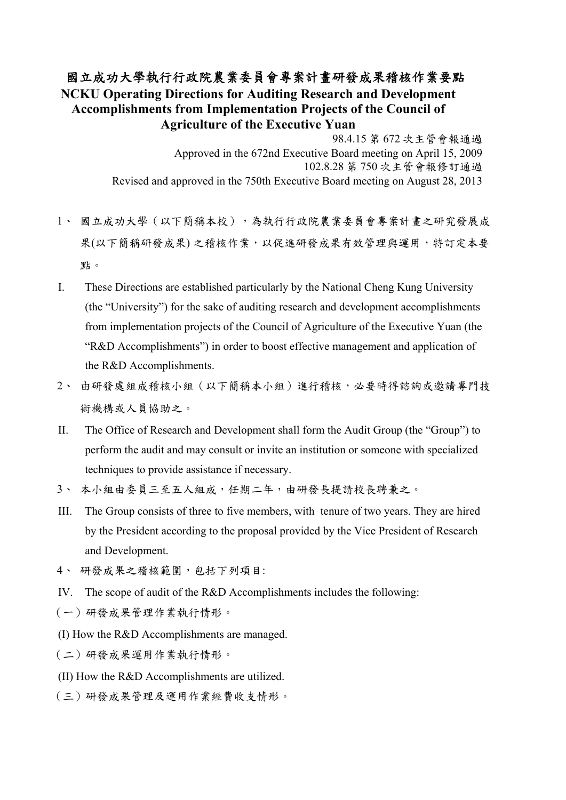## 國立成功大學執行行政院農業委員會專案計畫研發成果稽核作業要點 **NCKU Operating Directions for Auditing Research and Development Accomplishments from Implementation Projects of the Council of Agriculture of the Executive Yuan**

98.4.15 第 672 次主管會報通過 Approved in the 672nd Executive Board meeting on April 15, 2009 102.8.28 第 750 次主管會報修訂通過 Revised and approved in the 750th Executive Board meeting on August 28, 2013

- 1、 國立成功大學(以下簡稱本校),為執行行政院農業委員會專案計畫之研究發展成 果(以下簡稱研發成果) 之稽核作業,以促進研發成果有效管理與運用,特訂定本要 點。
- I. These Directions are established particularly by the National Cheng Kung University (the "University") for the sake of auditing research and development accomplishments from implementation projects of the Council of Agriculture of the Executive Yuan (the "R&D Accomplishments") in order to boost effective management and application of the R&D Accomplishments.
- 2、 由研發處組成稽核小組(以下簡稱本小組)進行稽核,必要時得諮詢或邀請專門技 術機構或人員協助之。
- II. The Office of Research and Development shall form the Audit Group (the "Group") to perform the audit and may consult or invite an institution or someone with specialized techniques to provide assistance if necessary.
- 3、 本小組由委員三至五人組成,任期二年,由研發長提請校長聘兼之。
- III. The Group consists of three to five members, with tenure of two years. They are hired by the President according to the proposal provided by the Vice President of Research and Development.
- 4、 研發成果之稽核範圍,包括下列項目:
- IV. The scope of audit of the R&D Accomplishments includes the following:
- (一)研發成果管理作業執行情形。
- (I) How the R&D Accomplishments are managed.

(二)研發成果運用作業執行情形。

- (II) How the R&D Accomplishments are utilized.
- (三)研發成果管理及運用作業經費收支情形。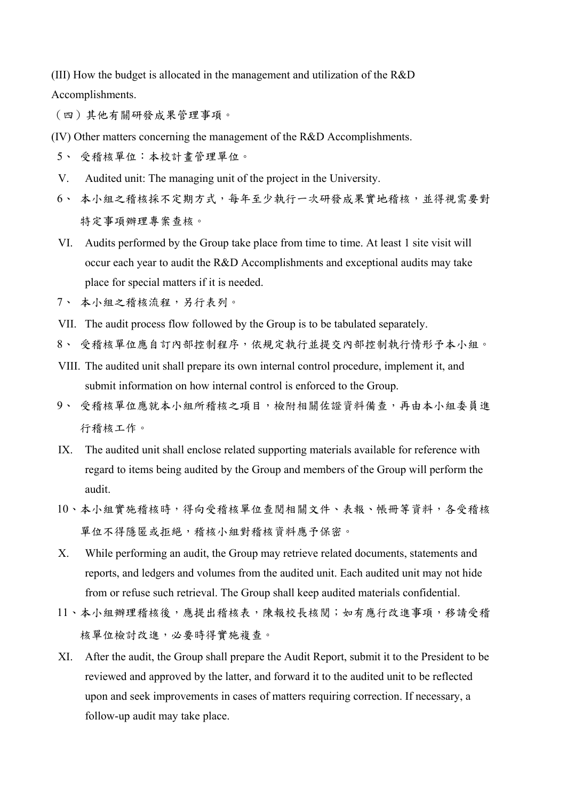(III) How the budget is allocated in the management and utilization of the R&D Accomplishments.

(四)其他有關研發成果管理事項。

- (IV) Other matters concerning the management of the R&D Accomplishments.
	- 5、 受稽核單位:本校計畫管理單位。
	- V. Audited unit: The managing unit of the project in the University.
- 6、 本小組之稽核採不定期方式,每年至少執行一次研發成果實地稽核,並得視需要對 特定事項辦理專案查核。
- VI. Audits performed by the Group take place from time to time. At least 1 site visit will occur each year to audit the R&D Accomplishments and exceptional audits may take place for special matters if it is needed.
- 7、 本小組之稽核流程,另行表列。
- VII. The audit process flow followed by the Group is to be tabulated separately.
- 8、 受稽核單位應自訂內部控制程序,依規定執行並提交內部控制執行情形予本小組。
- VIII. The audited unit shall prepare its own internal control procedure, implement it, and submit information on how internal control is enforced to the Group.
- 9、 受稽核單位應就本小組所稽核之項目,檢附相關佐證資料備查,再由本小組委員進 行稽核工作。
- IX. The audited unit shall enclose related supporting materials available for reference with regard to items being audited by the Group and members of the Group will perform the audit.
- 10、本小組實施稽核時,得向受稽核單位查閱相關文件、表報、帳冊等資料,各受稽核 單位不得隱匿或拒絕,稽核小組對稽核資料應予保密。
- X. While performing an audit, the Group may retrieve related documents, statements and reports, and ledgers and volumes from the audited unit. Each audited unit may not hide from or refuse such retrieval. The Group shall keep audited materials confidential.
- 11、本小組辦理稽核後,應提出稽核表,陳報校長核閱;如有應行改進事項,移請受稽 核單位檢討改進,必要時得實施複查。
- XI. After the audit, the Group shall prepare the Audit Report, submit it to the President to be reviewed and approved by the latter, and forward it to the audited unit to be reflected upon and seek improvements in cases of matters requiring correction. If necessary, a follow-up audit may take place.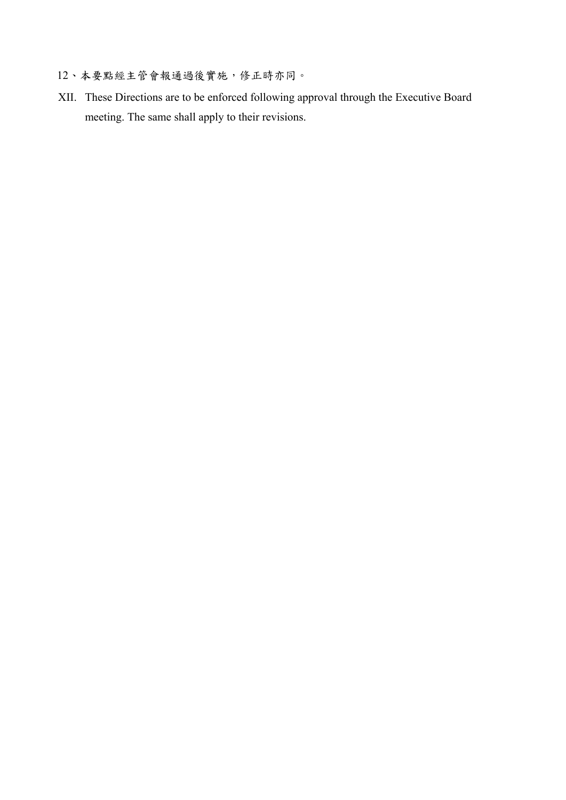- 12、本要點經主管會報通過後實施,修正時亦同。
- XII. These Directions are to be enforced following approval through the Executive Board meeting. The same shall apply to their revisions.